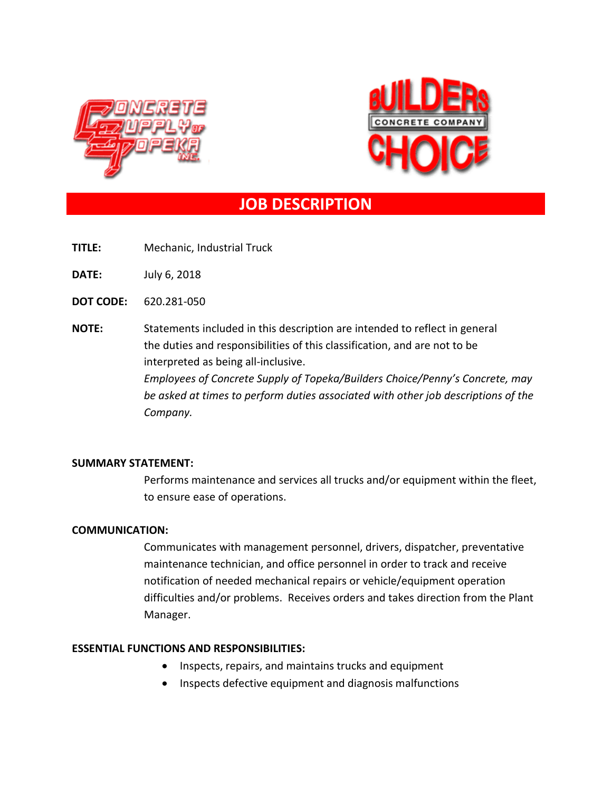



# **JOB DESCRIPTION**

**TITLE:** Mechanic, Industrial Truck

**DATE:** July 6, 2018

**DOT CODE:** 620.281-050

**NOTE:** Statements included in this description are intended to reflect in general the duties and responsibilities of this classification, and are not to be interpreted as being all-inclusive. *Employees of Concrete Supply of Topeka/Builders Choice/Penny's Concrete, may be asked at times to perform duties associated with other job descriptions of the Company.*

## **SUMMARY STATEMENT:**

Performs maintenance and services all trucks and/or equipment within the fleet, to ensure ease of operations.

## **COMMUNICATION:**

Communicates with management personnel, drivers, dispatcher, preventative maintenance technician, and office personnel in order to track and receive notification of needed mechanical repairs or vehicle/equipment operation difficulties and/or problems. Receives orders and takes direction from the Plant Manager.

## **ESSENTIAL FUNCTIONS AND RESPONSIBILITIES:**

- Inspects, repairs, and maintains trucks and equipment
- Inspects defective equipment and diagnosis malfunctions